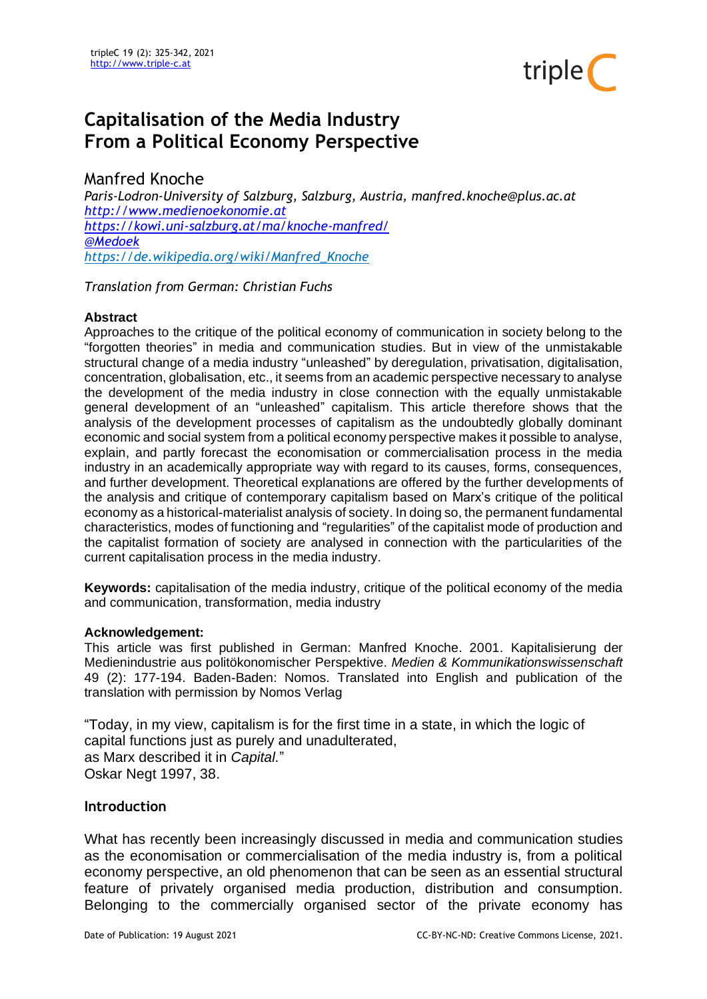

# **Capitalisation of the Media Industry From a Political Economy Perspective**

# Manfred Knoche

*Paris-Lodron-University of Salzburg, Salzburg, Austria, manfred.knoche@plus.ac.at [http://www.medienoekonomie.at](http://www.medienoekonomie.at/) <https://kowi.uni-salzburg.at/ma/knoche-manfred/> [@Medoek](https://mobile.twitter.com/Medoek) [https://de.wikipedia.org/wiki/Manfred\\_Knoche](https://de.wikipedia.org/wiki/Manfred_Knoche)*

*Translation from German: Christian Fuchs*

#### **Abstract**

Approaches to the critique of the political economy of communication in society belong to the "forgotten theories" in media and communication studies. But in view of the unmistakable structural change of a media industry "unleashed" by deregulation, privatisation, digitalisation, concentration, globalisation, etc., it seems from an academic perspective necessary to analyse the development of the media industry in close connection with the equally unmistakable general development of an "unleashed" capitalism. This article therefore shows that the analysis of the development processes of capitalism as the undoubtedly globally dominant economic and social system from a political economy perspective makes it possible to analyse, explain, and partly forecast the economisation or commercialisation process in the media industry in an academically appropriate way with regard to its causes, forms, consequences, and further development. Theoretical explanations are offered by the further developments of the analysis and critique of contemporary capitalism based on Marx's critique of the political economy as a historical-materialist analysis of society. In doing so, the permanent fundamental characteristics, modes of functioning and "regularities" of the capitalist mode of production and the capitalist formation of society are analysed in connection with the particularities of the current capitalisation process in the media industry.

**Keywords:** capitalisation of the media industry, critique of the political economy of the media and communication, transformation, media industry

#### **Acknowledgement:**

This article was first published in German: Manfred Knoche. 2001. Kapitalisierung der Medienindustrie aus politökonomischer Perspektive. *Medien & Kommunikationswissenschaft*  49 (2): 177-194. Baden-Baden: Nomos. Translated into English and publication of the translation with permission by Nomos Verlag

"Today, in my view, capitalism is for the first time in a state, in which the logic of capital functions just as purely and unadulterated, as Marx described it in *Capital.*" Oskar Negt 1997, 38.

#### **Introduction**

What has recently been increasingly discussed in media and communication studies as the economisation or commercialisation of the media industry is, from a political economy perspective, an old phenomenon that can be seen as an essential structural feature of privately organised media production, distribution and consumption. Belonging to the commercially organised sector of the private economy has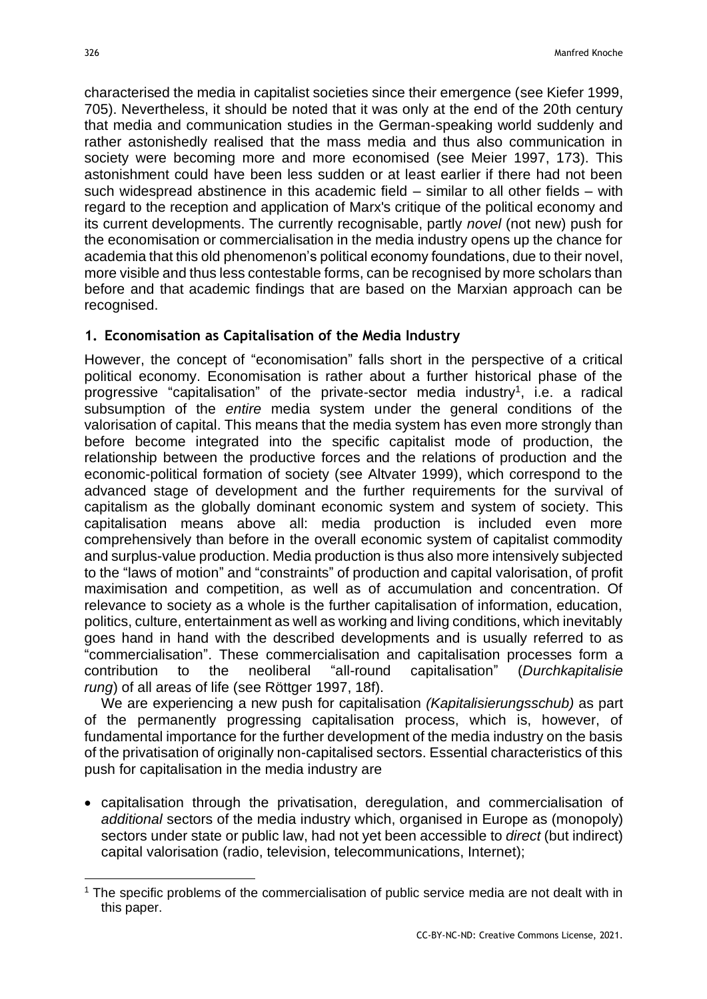characterised the media in capitalist societies since their emergence (see Kiefer 1999, 705). Nevertheless, it should be noted that it was only at the end of the 20th century that media and communication studies in the German-speaking world suddenly and rather astonishedly realised that the mass media and thus also communication in society were becoming more and more economised (see Meier 1997, 173). This astonishment could have been less sudden or at least earlier if there had not been such widespread abstinence in this academic field – similar to all other fields – with regard to the reception and application of Marx's critique of the political economy and its current developments. The currently recognisable, partly *novel* (not new) push for the economisation or commercialisation in the media industry opens up the chance for academia that this old phenomenon's political economy foundations, due to their novel, more visible and thus less contestable forms, can be recognised by more scholars than before and that academic findings that are based on the Marxian approach can be recognised.

#### **1. Economisation as Capitalisation of the Media Industry**

However, the concept of "economisation" falls short in the perspective of a critical political economy. Economisation is rather about a further historical phase of the progressive "capitalisation" of the private-sector media industry<sup>1</sup>, i.e. a radical subsumption of the *entire* media system under the general conditions of the valorisation of capital. This means that the media system has even more strongly than before become integrated into the specific capitalist mode of production, the relationship between the productive forces and the relations of production and the economic-political formation of society (see Altvater 1999), which correspond to the advanced stage of development and the further requirements for the survival of capitalism as the globally dominant economic system and system of society. This capitalisation means above all: media production is included even more comprehensively than before in the overall economic system of capitalist commodity and surplus-value production. Media production is thus also more intensively subjected to the "laws of motion" and "constraints" of production and capital valorisation, of profit maximisation and competition, as well as of accumulation and concentration. Of relevance to society as a whole is the further capitalisation of information, education, politics, culture, entertainment as well as working and living conditions, which inevitably goes hand in hand with the described developments and is usually referred to as "commercialisation". These commercialisation and capitalisation processes form a contribution to the neoliberal "all-round capitalisation" (*Durchkapitalisie rung*) of all areas of life (see Röttger 1997, 18f).

We are experiencing a new push for capitalisation *(Kapitalisierungsschub)* as part of the permanently progressing capitalisation process, which is, however, of fundamental importance for the further development of the media industry on the basis of the privatisation of originally non-capitalised sectors. Essential characteristics of this push for capitalisation in the media industry are

• capitalisation through the privatisation, deregulation, and commercialisation of *additional* sectors of the media industry which, organised in Europe as (monopoly) sectors under state or public law, had not yet been accessible to *direct* (but indirect) capital valorisation (radio, television, telecommunications, Internet);

<sup>&</sup>lt;sup>1</sup> The specific problems of the commercialisation of public service media are not dealt with in this paper.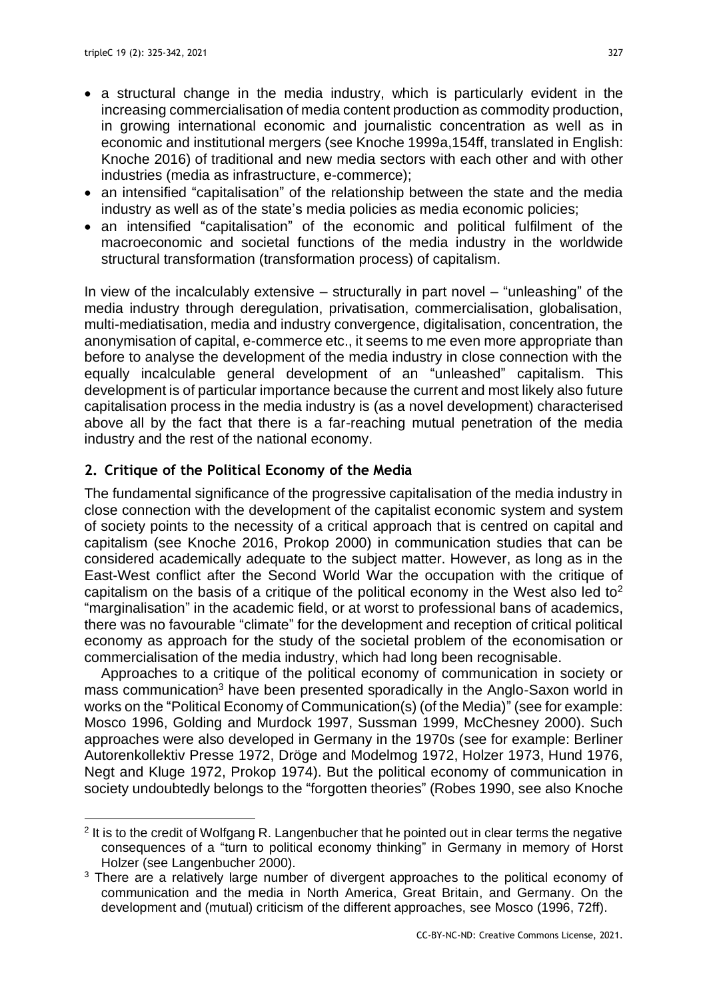- a structural change in the media industry, which is particularly evident in the increasing commercialisation of media content production as commodity production, in growing international economic and journalistic concentration as well as in economic and institutional mergers (see Knoche 1999a,154ff, translated in English: Knoche 2016) of traditional and new media sectors with each other and with other industries (media as infrastructure, e-commerce);
- an intensified "capitalisation" of the relationship between the state and the media industry as well as of the state's media policies as media economic policies;
- an intensified "capitalisation" of the economic and political fulfilment of the macroeconomic and societal functions of the media industry in the worldwide structural transformation (transformation process) of capitalism.

In view of the incalculably extensive  $-$  structurally in part novel  $-$  "unleashing" of the media industry through deregulation, privatisation, commercialisation, globalisation, multi-mediatisation, media and industry convergence, digitalisation, concentration, the anonymisation of capital, e-commerce etc., it seems to me even more appropriate than before to analyse the development of the media industry in close connection with the equally incalculable general development of an "unleashed" capitalism. This development is of particular importance because the current and most likely also future capitalisation process in the media industry is (as a novel development) characterised above all by the fact that there is a far-reaching mutual penetration of the media industry and the rest of the national economy.

# **2. Critique of the Political Economy of the Media**

The fundamental significance of the progressive capitalisation of the media industry in close connection with the development of the capitalist economic system and system of society points to the necessity of a critical approach that is centred on capital and capitalism (see Knoche 2016, Prokop 2000) in communication studies that can be considered academically adequate to the subject matter. However, as long as in the East-West conflict after the Second World War the occupation with the critique of capitalism on the basis of a critique of the political economy in the West also led to<sup>2</sup> "marginalisation" in the academic field, or at worst to professional bans of academics, there was no favourable "climate" for the development and reception of critical political economy as approach for the study of the societal problem of the economisation or commercialisation of the media industry, which had long been recognisable.

Approaches to a critique of the political economy of communication in society or mass communication<sup>3</sup> have been presented sporadically in the Anglo-Saxon world in works on the "Political Economy of Communication(s) (of the Media)" (see for example: Mosco 1996, Golding and Murdock 1997, Sussman 1999, McChesney 2000). Such approaches were also developed in Germany in the 1970s (see for example: Berliner Autorenkollektiv Presse 1972, Dröge and Modelmog 1972, Holzer 1973, Hund 1976, Negt and Kluge 1972, Prokop 1974). But the political economy of communication in society undoubtedly belongs to the "forgotten theories" (Robes 1990, see also Knoche

 $2$  It is to the credit of Wolfgang R. Langenbucher that he pointed out in clear terms the negative consequences of a "turn to political economy thinking" in Germany in memory of Horst Holzer (see Langenbucher 2000).

<sup>&</sup>lt;sup>3</sup> There are a relatively large number of divergent approaches to the political economy of communication and the media in North America, Great Britain, and Germany. On the development and (mutual) criticism of the different approaches, see Mosco (1996, 72ff).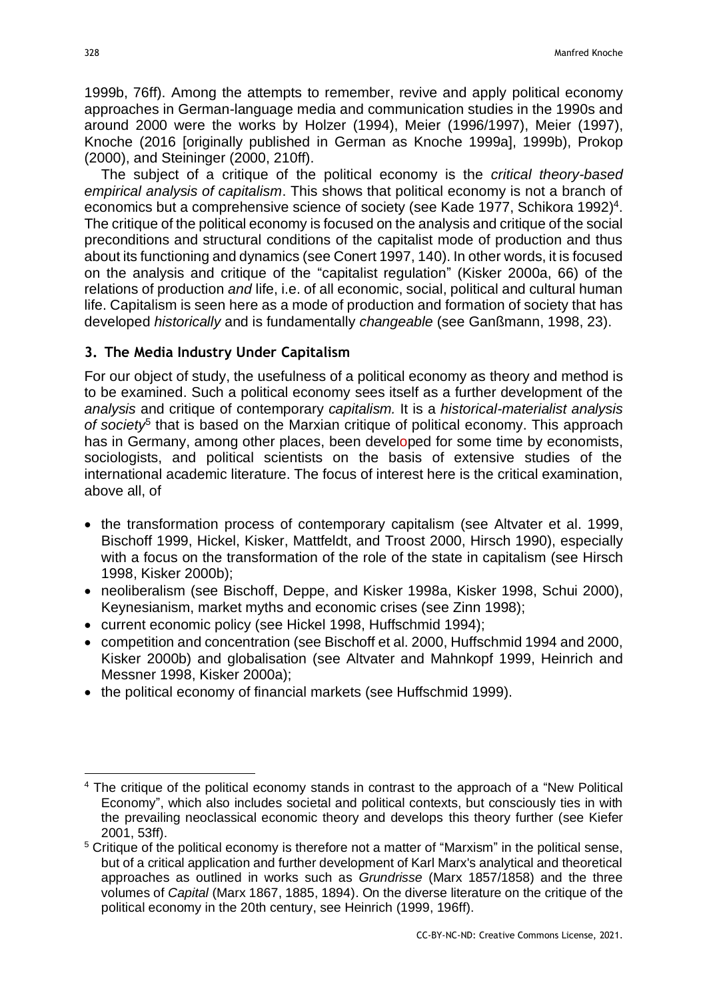1999b, 76ff). Among the attempts to remember, revive and apply political economy approaches in German-language media and communication studies in the 1990s and around 2000 were the works by Holzer (1994), Meier (1996/1997), Meier (1997), Knoche (2016 [originally published in German as Knoche 1999a], 1999b), Prokop (2000), and Steininger (2000, 210ff).

The subject of a critique of the political economy is the *critical theory-based empirical analysis of capitalism*. This shows that political economy is not a branch of economics but a comprehensive science of society (see Kade 1977, Schikora 1992)<sup>4</sup>. The critique of the political economy is focused on the analysis and critique of the social preconditions and structural conditions of the capitalist mode of production and thus about its functioning and dynamics (see Conert 1997, 140). In other words, it is focused on the analysis and critique of the "capitalist regulation" (Kisker 2000a, 66) of the relations of production *and* life, i.e. of all economic, social, political and cultural human life. Capitalism is seen here as a mode of production and formation of society that has developed *historically* and is fundamentally *changeable* (see Ganßmann, 1998, 23).

## **3. The Media Industry Under Capitalism**

For our object of study, the usefulness of a political economy as theory and method is to be examined. Such a political economy sees itself as a further development of the *analysis* and critique of contemporary *capitalism.* It is a *historical-materialist analysis*  of society<sup>5</sup> that is based on the Marxian critique of political economy. This approach has in Germany, among other places, been developed for some time by economists, sociologists, and political scientists on the basis of extensive studies of the international academic literature. The focus of interest here is the critical examination, above all, of

- the transformation process of contemporary capitalism (see Altvater et al. 1999, Bischoff 1999, Hickel, Kisker, Mattfeldt, and Troost 2000, Hirsch 1990), especially with a focus on the transformation of the role of the state in capitalism (see Hirsch 1998, Kisker 2000b);
- neoliberalism (see Bischoff, Deppe, and Kisker 1998a, Kisker 1998, Schui 2000), Keynesianism, market myths and economic crises (see Zinn 1998);
- current economic policy (see Hickel 1998, Huffschmid 1994);
- competition and concentration (see Bischoff et al. 2000, Huffschmid 1994 and 2000, Kisker 2000b) and globalisation (see Altvater and Mahnkopf 1999, Heinrich and Messner 1998, Kisker 2000a);
- the political economy of financial markets (see Huffschmid 1999).

<sup>&</sup>lt;sup>4</sup> The critique of the political economy stands in contrast to the approach of a "New Political Economy", which also includes societal and political contexts, but consciously ties in with the prevailing neoclassical economic theory and develops this theory further (see Kiefer 2001, 53ff).

<sup>&</sup>lt;sup>5</sup> Critique of the political economy is therefore not a matter of "Marxism" in the political sense, but of a critical application and further development of Karl Marx's analytical and theoretical approaches as outlined in works such as *Grundrisse* (Marx 1857/1858) and the three volumes of *Capital* (Marx 1867, 1885, 1894). On the diverse literature on the critique of the political economy in the 20th century, see Heinrich (1999, 196ff).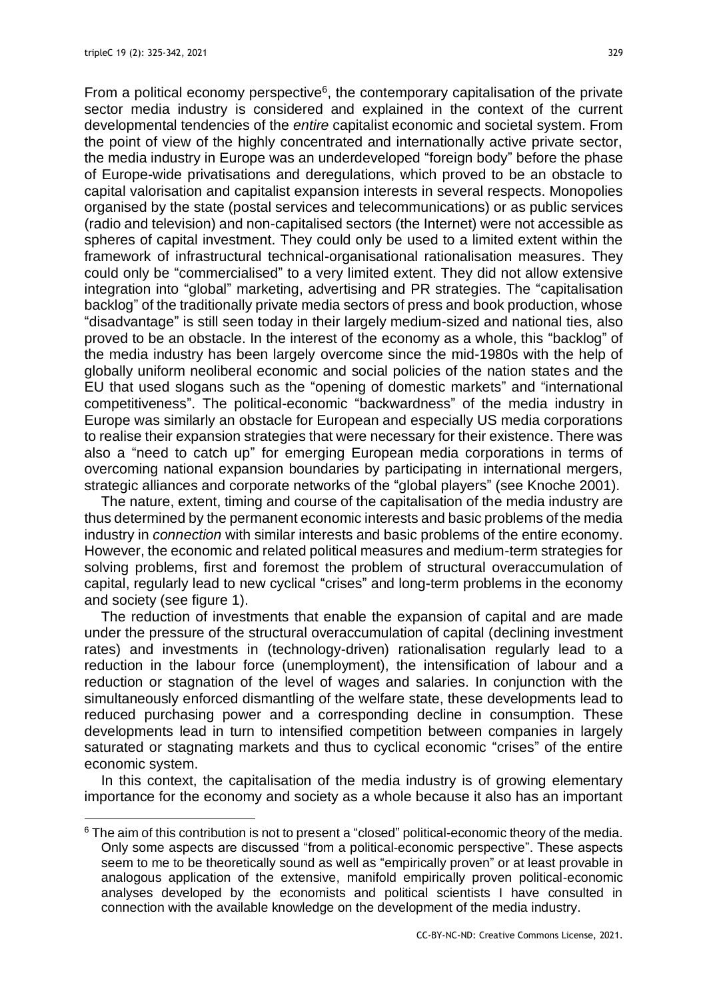From a political economy perspective $6$ , the contemporary capitalisation of the private sector media industry is considered and explained in the context of the current developmental tendencies of the *entire* capitalist economic and societal system. From the point of view of the highly concentrated and internationally active private sector, the media industry in Europe was an underdeveloped "foreign body" before the phase of Europe-wide privatisations and deregulations, which proved to be an obstacle to capital valorisation and capitalist expansion interests in several respects. Monopolies organised by the state (postal services and telecommunications) or as public services (radio and television) and non-capitalised sectors (the Internet) were not accessible as spheres of capital investment. They could only be used to a limited extent within the framework of infrastructural technical-organisational rationalisation measures. They could only be "commercialised" to a very limited extent. They did not allow extensive integration into "global" marketing, advertising and PR strategies. The "capitalisation backlog" of the traditionally private media sectors of press and book production, whose "disadvantage" is still seen today in their largely medium-sized and national ties, also proved to be an obstacle. In the interest of the economy as a whole, this "backlog" of the media industry has been largely overcome since the mid-1980s with the help of globally uniform neoliberal economic and social policies of the nation states and the EU that used slogans such as the "opening of domestic markets" and "international competitiveness". The political-economic "backwardness" of the media industry in Europe was similarly an obstacle for European and especially US media corporations to realise their expansion strategies that were necessary for their existence. There was also a "need to catch up" for emerging European media corporations in terms of overcoming national expansion boundaries by participating in international mergers, strategic alliances and corporate networks of the "global players" (see Knoche 2001).

The nature, extent, timing and course of the capitalisation of the media industry are thus determined by the permanent economic interests and basic problems of the media industry in *connection* with similar interests and basic problems of the entire economy. However, the economic and related political measures and medium-term strategies for solving problems, first and foremost the problem of structural overaccumulation of capital, regularly lead to new cyclical "crises" and long-term problems in the economy and society (see figure 1).

The reduction of investments that enable the expansion of capital and are made under the pressure of the structural overaccumulation of capital (declining investment rates) and investments in (technology-driven) rationalisation regularly lead to a reduction in the labour force (unemployment), the intensification of labour and a reduction or stagnation of the level of wages and salaries. In conjunction with the simultaneously enforced dismantling of the welfare state, these developments lead to reduced purchasing power and a corresponding decline in consumption. These developments lead in turn to intensified competition between companies in largely saturated or stagnating markets and thus to cyclical economic "crises" of the entire economic system.

In this context, the capitalisation of the media industry is of growing elementary importance for the economy and society as a whole because it also has an important

<sup>&</sup>lt;sup>6</sup> The aim of this contribution is not to present a "closed" political-economic theory of the media. Only some aspects are discussed "from a political-economic perspective". These aspects seem to me to be theoretically sound as well as "empirically proven" or at least provable in analogous application of the extensive, manifold empirically proven political-economic analyses developed by the economists and political scientists I have consulted in connection with the available knowledge on the development of the media industry.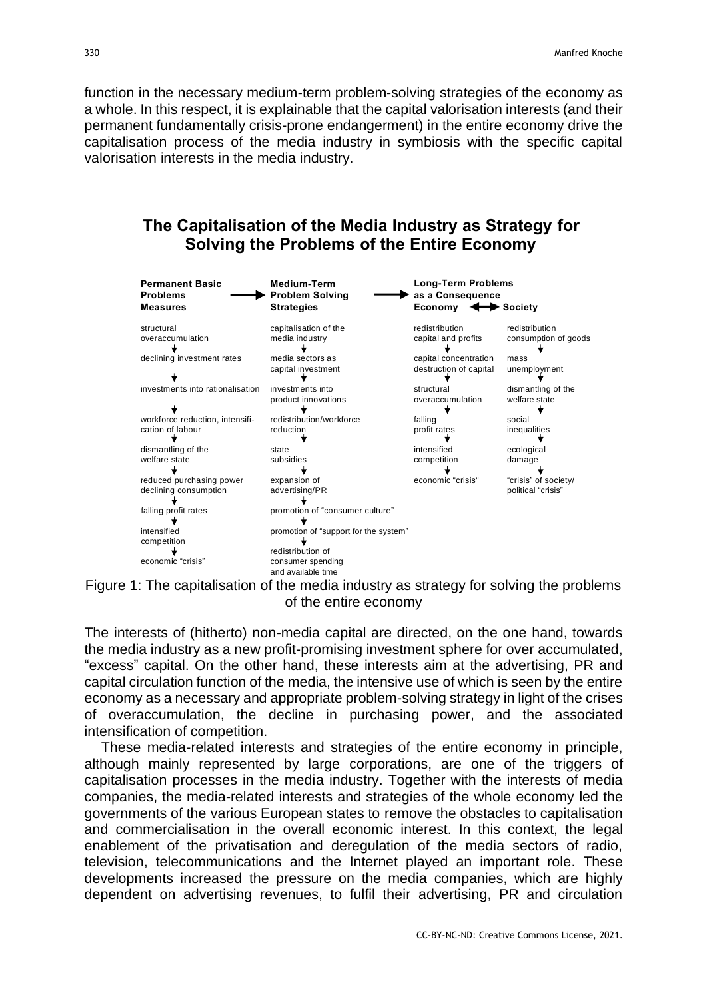function in the necessary medium-term problem-solving strategies of the economy as a whole. In this respect, it is explainable that the capital valorisation interests (and their permanent fundamentally crisis-prone endangerment) in the entire economy drive the capitalisation process of the media industry in symbiosis with the specific capital valorisation interests in the media industry.

# **The Capitalisation of the Media Industry as Strategy for Solving the Problems of the Entire Economy**

| <b>Permanent Basic</b><br><b>Problems</b><br><b>Measures</b>                                                                   | <b>Medium-Term</b><br><b>Problem Solving</b><br><b>Strategies</b>                                                                                                          | <b>Long-Term Problems</b><br>as a Consequence<br>Economy<br>Society                      |                                                                                       |
|--------------------------------------------------------------------------------------------------------------------------------|----------------------------------------------------------------------------------------------------------------------------------------------------------------------------|------------------------------------------------------------------------------------------|---------------------------------------------------------------------------------------|
| structural<br>overaccumulation<br>declining investment rates                                                                   | capitalisation of the<br>media industry<br>media sectors as<br>capital investment                                                                                          | redistribution<br>capital and profits<br>capital concentration<br>destruction of capital | redistribution<br>consumption of goods<br>mass<br>unemployment                        |
| investments into rationalisation<br>workforce reduction, intensifi-<br>cation of labour<br>dismantling of the<br>welfare state | investments into<br>product innovations<br>redistribution/workforce<br>reduction<br>state<br>subsidies                                                                     | structural<br>overaccumulation<br>falling<br>profit rates<br>intensified<br>competition  | dismantling of the<br>welfare state<br>social<br>inequalities<br>ecological<br>damage |
| reduced purchasing power<br>declining consumption<br>falling profit rates<br>intensified<br>competition<br>economic "crisis"   | expansion of<br>advertising/PR<br>promotion of "consumer culture"<br>promotion of "support for the system"<br>redistribution of<br>consumer spending<br>and available time | economic "crisis"                                                                        | "crisis" of society/<br>political "crisis"                                            |



The interests of (hitherto) non-media capital are directed, on the one hand, towards the media industry as a new profit-promising investment sphere for over accumulated, "excess" capital. On the other hand, these interests aim at the advertising, PR and capital circulation function of the media, the intensive use of which is seen by the entire economy as a necessary and appropriate problem-solving strategy in light of the crises of overaccumulation, the decline in purchasing power, and the associated intensification of competition.

These media-related interests and strategies of the entire economy in principle, although mainly represented by large corporations, are one of the triggers of capitalisation processes in the media industry. Together with the interests of media companies, the media-related interests and strategies of the whole economy led the governments of the various European states to remove the obstacles to capitalisation and commercialisation in the overall economic interest. In this context, the legal enablement of the privatisation and deregulation of the media sectors of radio, television, telecommunications and the Internet played an important role. These developments increased the pressure on the media companies, which are highly dependent on advertising revenues, to fulfil their advertising, PR and circulation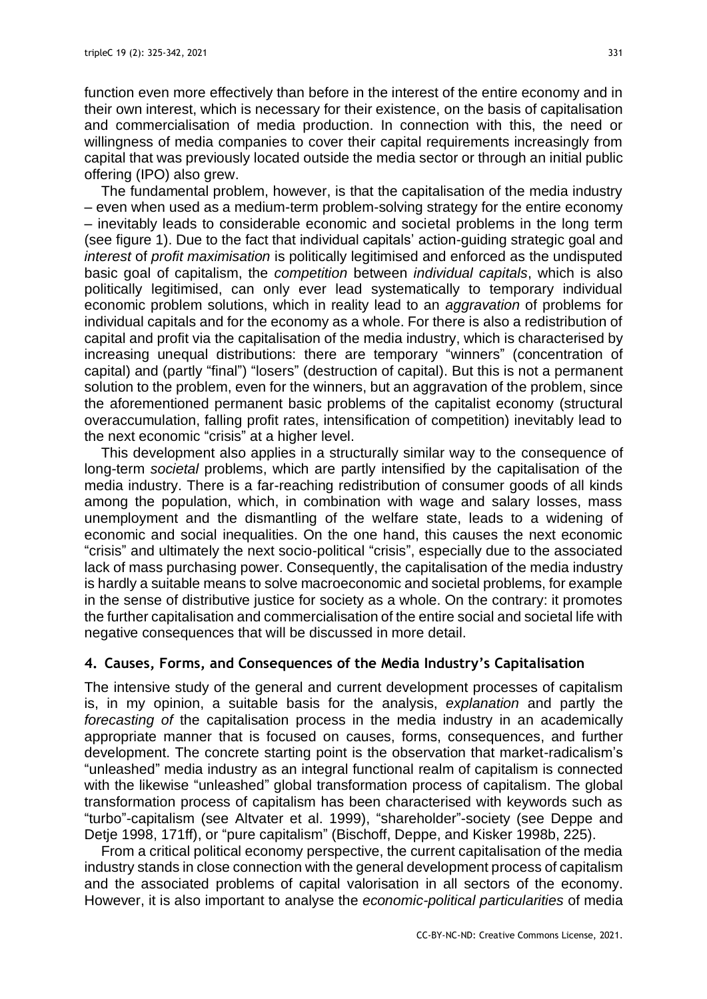function even more effectively than before in the interest of the entire economy and in their own interest, which is necessary for their existence, on the basis of capitalisation and commercialisation of media production. In connection with this, the need or willingness of media companies to cover their capital requirements increasingly from capital that was previously located outside the media sector or through an initial public offering (IPO) also grew.

The fundamental problem, however, is that the capitalisation of the media industry – even when used as a medium-term problem-solving strategy for the entire economy – inevitably leads to considerable economic and societal problems in the long term (see figure 1). Due to the fact that individual capitals' action-guiding strategic goal and *interest* of *profit maximisation* is politically legitimised and enforced as the undisputed basic goal of capitalism, the *competition* between *individual capitals*, which is also politically legitimised, can only ever lead systematically to temporary individual economic problem solutions, which in reality lead to an *aggravation* of problems for individual capitals and for the economy as a whole. For there is also a redistribution of capital and profit via the capitalisation of the media industry, which is characterised by increasing unequal distributions: there are temporary "winners" (concentration of capital) and (partly "final") "losers" (destruction of capital). But this is not a permanent solution to the problem, even for the winners, but an aggravation of the problem, since the aforementioned permanent basic problems of the capitalist economy (structural overaccumulation, falling profit rates, intensification of competition) inevitably lead to the next economic "crisis" at a higher level.

This development also applies in a structurally similar way to the consequence of long-term *societal* problems, which are partly intensified by the capitalisation of the media industry. There is a far-reaching redistribution of consumer goods of all kinds among the population, which, in combination with wage and salary losses, mass unemployment and the dismantling of the welfare state, leads to a widening of economic and social inequalities. On the one hand, this causes the next economic "crisis" and ultimately the next socio-political "crisis", especially due to the associated lack of mass purchasing power. Consequently, the capitalisation of the media industry is hardly a suitable means to solve macroeconomic and societal problems, for example in the sense of distributive justice for society as a whole. On the contrary: it promotes the further capitalisation and commercialisation of the entire social and societal life with negative consequences that will be discussed in more detail.

# **4. Causes, Forms, and Consequences of the Media Industry's Capitalisation**

The intensive study of the general and current development processes of capitalism is, in my opinion, a suitable basis for the analysis, *explanation* and partly the *forecasting of* the capitalisation process in the media industry in an academically appropriate manner that is focused on causes, forms, consequences, and further development. The concrete starting point is the observation that market-radicalism's "unleashed" media industry as an integral functional realm of capitalism is connected with the likewise "unleashed" global transformation process of capitalism. The global transformation process of capitalism has been characterised with keywords such as "turbo"-capitalism (see Altvater et al. 1999), "shareholder"-society (see Deppe and Detje 1998, 171ff), or "pure capitalism" (Bischoff, Deppe, and Kisker 1998b, 225).

From a critical political economy perspective, the current capitalisation of the media industry stands in close connection with the general development process of capitalism and the associated problems of capital valorisation in all sectors of the economy. However, it is also important to analyse the *economic-political particularities* of media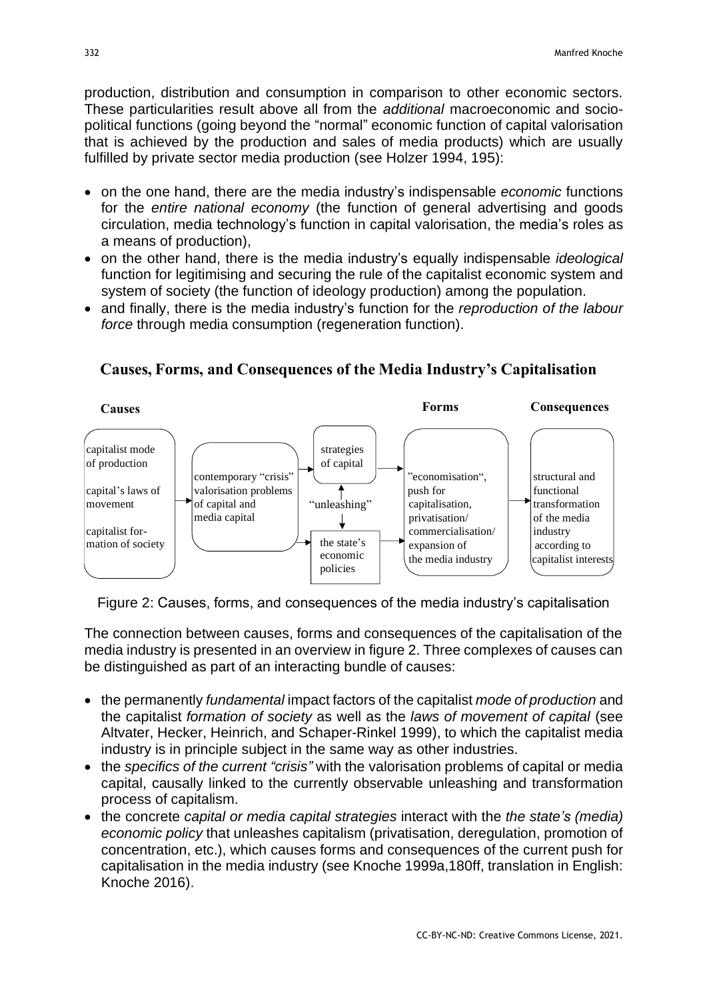production, distribution and consumption in comparison to other economic sectors. These particularities result above all from the *additional* macroeconomic and sociopolitical functions (going beyond the "normal" economic function of capital valorisation that is achieved by the production and sales of media products) which are usually fulfilled by private sector media production (see Holzer 1994, 195):

- on the one hand, there are the media industry's indispensable *economic* functions for the *entire national economy* (the function of general advertising and goods circulation, media technology's function in capital valorisation, the media's roles as a means of production),
- on the other hand, there is the media industry's equally indispensable *ideological* function for legitimising and securing the rule of the capitalist economic system and system of society (the function of ideology production) among the population.
- and finally, there is the media industry's function for the *reproduction of the labour force* through media consumption (regeneration function).



## **Causes, Forms, and Consequences of the Media Industry'<sup>s</sup> Capitalisation**

Figure 2: Causes, forms, and consequences of the media industry's capitalisation

The connection between causes, forms and consequences of the capitalisation of the media industry is presented in an overview in figure 2. Three complexes of causes can be distinguished as part of an interacting bundle of causes:

- the permanently *fundamental* impact factors of the capitalist *mode of production* and the capitalist *formation of society* as well as the *laws of movement of capital* (see Altvater, Hecker, Heinrich, and Schaper-Rinkel 1999), to which the capitalist media industry is in principle subject in the same way as other industries.
- the *specifics of the current "crisis"* with the valorisation problems of capital or media capital, causally linked to the currently observable unleashing and transformation process of capitalism.
- the concrete *capital or media capital strategies* interact with the *the state's (media) economic policy* that unleashes capitalism (privatisation, deregulation, promotion of concentration, etc.), which causes forms and consequences of the current push for capitalisation in the media industry (see Knoche 1999a,180ff, translation in English: Knoche 2016).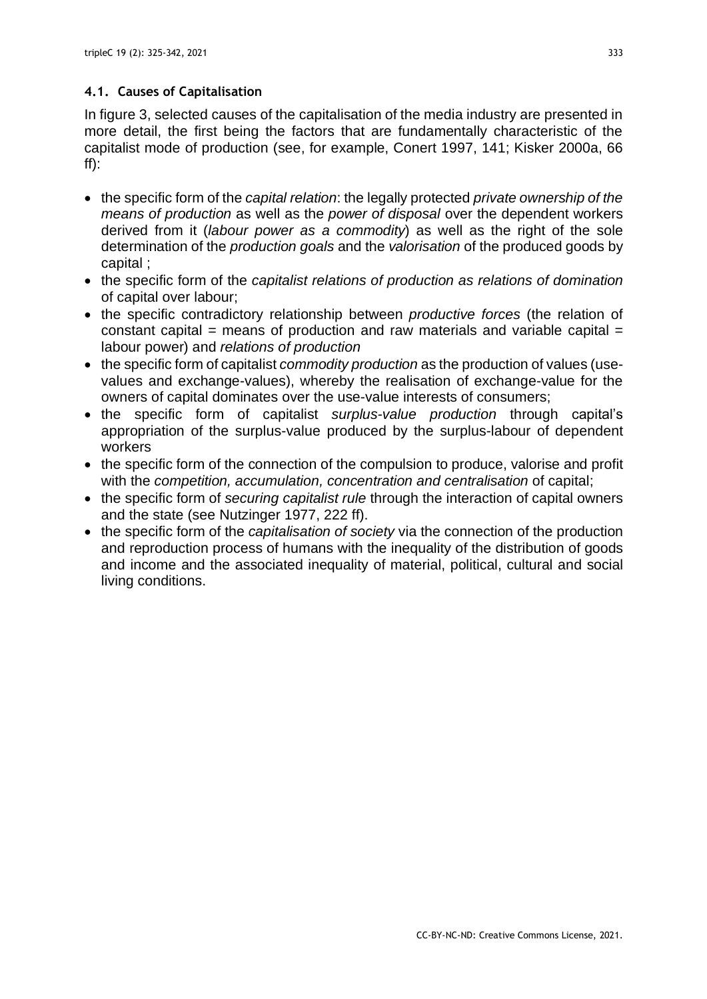## **4.1. Causes of Capitalisation**

In figure 3, selected causes of the capitalisation of the media industry are presented in more detail, the first being the factors that are fundamentally characteristic of the capitalist mode of production (see, for example, Conert 1997, 141; Kisker 2000a, 66  $ff)$ :

- the specific form of the *capital relation*: the legally protected *private ownership of the means of production* as well as the *power of disposal* over the dependent workers derived from it (*labour power as a commodity*) as well as the right of the sole determination of the *production goals* and the *valorisation* of the produced goods by capital ;
- the specific form of the *capitalist relations of production as relations of domination* of capital over labour;
- the specific contradictory relationship between *productive forces* (the relation of constant capital = means of production and raw materials and variable capital = labour power) and *relations of production*
- the specific form of capitalist *commodity production* as the production of values (usevalues and exchange-values), whereby the realisation of exchange-value for the owners of capital dominates over the use-value interests of consumers;
- the specific form of capitalist *surplus-value production* through capital's appropriation of the surplus-value produced by the surplus-labour of dependent workers
- the specific form of the connection of the compulsion to produce, valorise and profit with the *competition, accumulation, concentration and centralisation* of capital;
- the specific form of *securing capitalist rule* through the interaction of capital owners and the state (see Nutzinger 1977, 222 ff).
- the specific form of the *capitalisation of society* via the connection of the production and reproduction process of humans with the inequality of the distribution of goods and income and the associated inequality of material, political, cultural and social living conditions.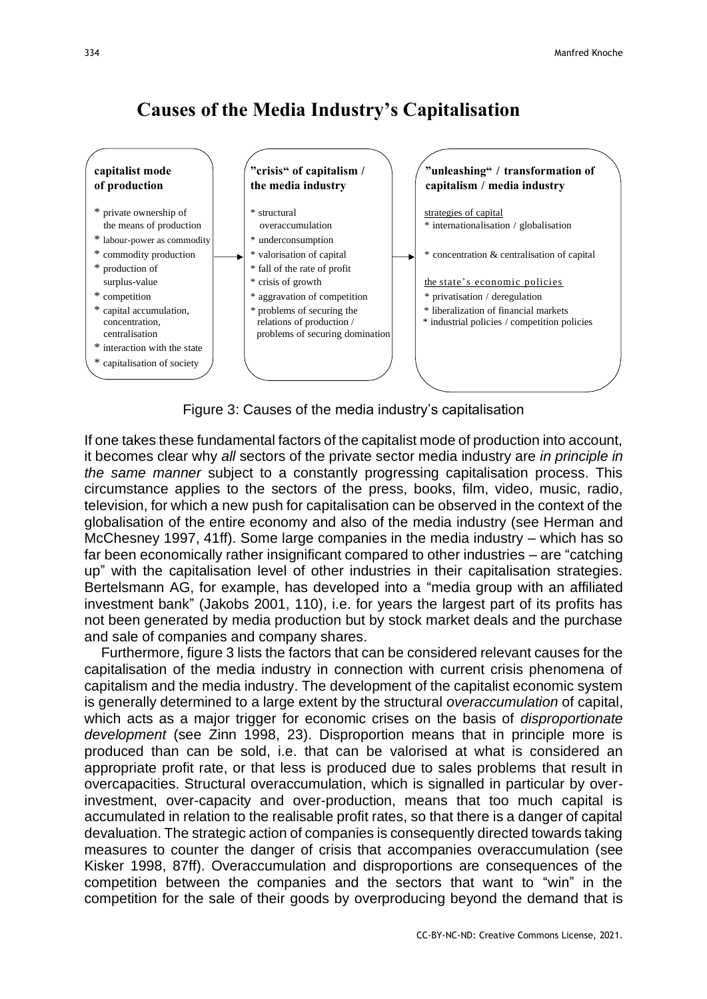# **Causes of the Media Industry'<sup>s</sup> Capitalisation**



Figure 3: Causes of the media industry's capitalisation

If one takes these fundamental factors of the capitalist mode of production into account, it becomes clear why *all* sectors of the private sector media industry are *in principle in the same manner* subject to a constantly progressing capitalisation process. This circumstance applies to the sectors of the press, books, film, video, music, radio, television, for which a new push for capitalisation can be observed in the context of the globalisation of the entire economy and also of the media industry (see Herman and McChesney 1997, 41ff). Some large companies in the media industry – which has so far been economically rather insignificant compared to other industries – are "catching up" with the capitalisation level of other industries in their capitalisation strategies. Bertelsmann AG, for example, has developed into a "media group with an affiliated investment bank" (Jakobs 2001, 110), i.e. for years the largest part of its profits has not been generated by media production but by stock market deals and the purchase and sale of companies and company shares.

Furthermore, figure 3 lists the factors that can be considered relevant causes for the capitalisation of the media industry in connection with current crisis phenomena of capitalism and the media industry. The development of the capitalist economic system is generally determined to a large extent by the structural *overaccumulation* of capital, which acts as a major trigger for economic crises on the basis of *disproportionate development* (see Zinn 1998, 23). Disproportion means that in principle more is produced than can be sold, i.e. that can be valorised at what is considered an appropriate profit rate, or that less is produced due to sales problems that result in overcapacities. Structural overaccumulation, which is signalled in particular by overinvestment, over-capacity and over-production, means that too much capital is accumulated in relation to the realisable profit rates, so that there is a danger of capital devaluation. The strategic action of companies is consequently directed towards taking measures to counter the danger of crisis that accompanies overaccumulation (see Kisker 1998, 87ff). Overaccumulation and disproportions are consequences of the competition between the companies and the sectors that want to "win" in the competition for the sale of their goods by overproducing beyond the demand that is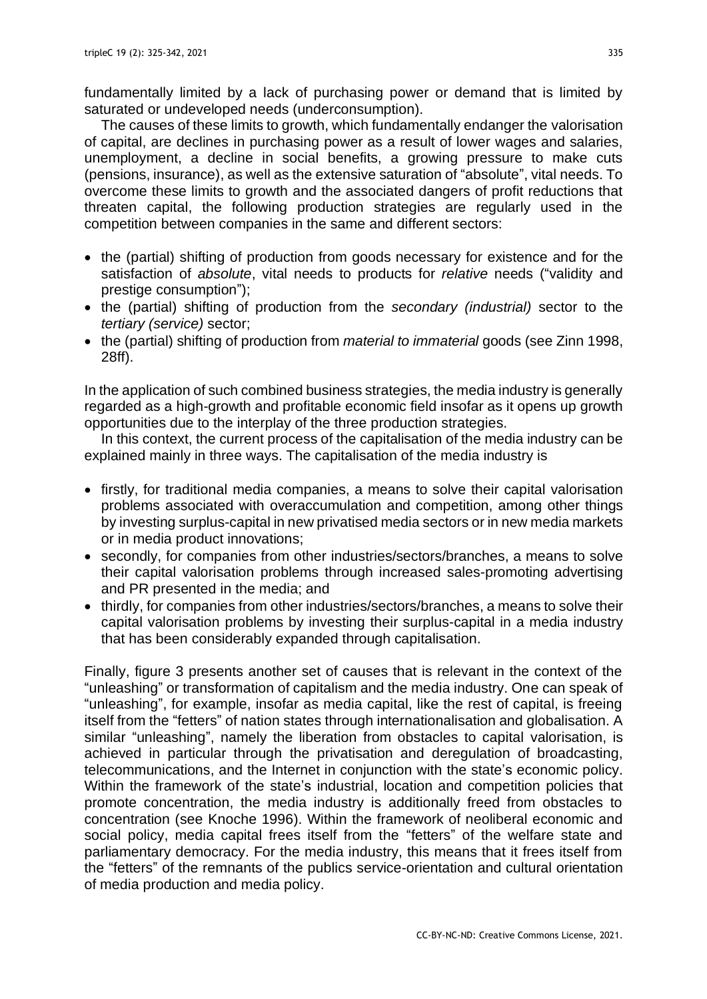fundamentally limited by a lack of purchasing power or demand that is limited by saturated or undeveloped needs (underconsumption).

The causes of these limits to growth, which fundamentally endanger the valorisation of capital, are declines in purchasing power as a result of lower wages and salaries, unemployment, a decline in social benefits, a growing pressure to make cuts (pensions, insurance), as well as the extensive saturation of "absolute", vital needs. To overcome these limits to growth and the associated dangers of profit reductions that threaten capital, the following production strategies are regularly used in the competition between companies in the same and different sectors:

- the (partial) shifting of production from goods necessary for existence and for the satisfaction of *absolute*, vital needs to products for *relative* needs ("validity and prestige consumption");
- the (partial) shifting of production from the *secondary (industrial)* sector to the *tertiary (service)* sector;
- the (partial) shifting of production from *material to immaterial* goods (see Zinn 1998, 28ff).

In the application of such combined business strategies, the media industry is generally regarded as a high-growth and profitable economic field insofar as it opens up growth opportunities due to the interplay of the three production strategies.

In this context, the current process of the capitalisation of the media industry can be explained mainly in three ways. The capitalisation of the media industry is

- firstly, for traditional media companies, a means to solve their capital valorisation problems associated with overaccumulation and competition, among other things by investing surplus-capital in new privatised media sectors or in new media markets or in media product innovations;
- secondly, for companies from other industries/sectors/branches, a means to solve their capital valorisation problems through increased sales-promoting advertising and PR presented in the media; and
- thirdly, for companies from other industries/sectors/branches, a means to solve their capital valorisation problems by investing their surplus-capital in a media industry that has been considerably expanded through capitalisation.

Finally, figure 3 presents another set of causes that is relevant in the context of the "unleashing" or transformation of capitalism and the media industry. One can speak of "unleashing", for example, insofar as media capital, like the rest of capital, is freeing itself from the "fetters" of nation states through internationalisation and globalisation. A similar "unleashing", namely the liberation from obstacles to capital valorisation, is achieved in particular through the privatisation and deregulation of broadcasting, telecommunications, and the Internet in conjunction with the state's economic policy. Within the framework of the state's industrial, location and competition policies that promote concentration, the media industry is additionally freed from obstacles to concentration (see Knoche 1996). Within the framework of neoliberal economic and social policy, media capital frees itself from the "fetters" of the welfare state and parliamentary democracy. For the media industry, this means that it frees itself from the "fetters" of the remnants of the publics service-orientation and cultural orientation of media production and media policy.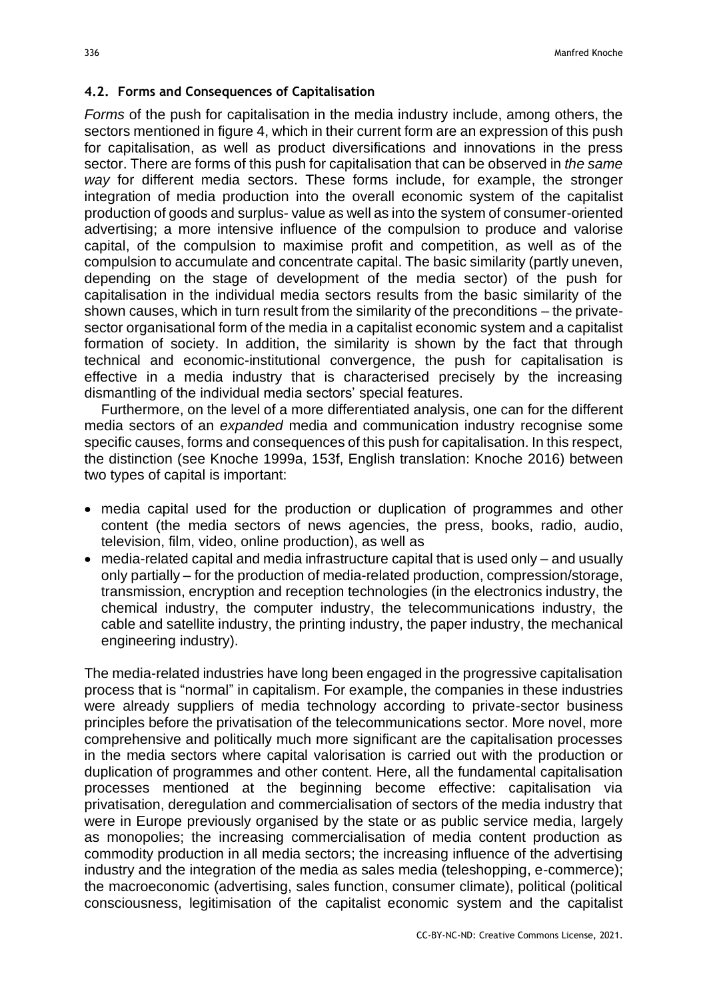#### **4.2. Forms and Consequences of Capitalisation**

*Forms* of the push for capitalisation in the media industry include, among others, the sectors mentioned in figure 4, which in their current form are an expression of this push for capitalisation, as well as product diversifications and innovations in the press sector. There are forms of this push for capitalisation that can be observed in *the same way* for different media sectors. These forms include, for example, the stronger integration of media production into the overall economic system of the capitalist production of goods and surplus- value as well as into the system of consumer-oriented advertising; a more intensive influence of the compulsion to produce and valorise capital, of the compulsion to maximise profit and competition, as well as of the compulsion to accumulate and concentrate capital. The basic similarity (partly uneven, depending on the stage of development of the media sector) of the push for capitalisation in the individual media sectors results from the basic similarity of the shown causes, which in turn result from the similarity of the preconditions – the privatesector organisational form of the media in a capitalist economic system and a capitalist formation of society. In addition, the similarity is shown by the fact that through technical and economic-institutional convergence, the push for capitalisation is effective in a media industry that is characterised precisely by the increasing dismantling of the individual media sectors' special features.

Furthermore, on the level of a more differentiated analysis, one can for the different media sectors of an *expanded* media and communication industry recognise some specific causes, forms and consequences of this push for capitalisation. In this respect, the distinction (see Knoche 1999a, 153f, English translation: Knoche 2016) between two types of capital is important:

- media capital used for the production or duplication of programmes and other content (the media sectors of news agencies, the press, books, radio, audio, television, film, video, online production), as well as
- media-related capital and media infrastructure capital that is used only and usually only partially – for the production of media-related production, compression/storage, transmission, encryption and reception technologies (in the electronics industry, the chemical industry, the computer industry, the telecommunications industry, the cable and satellite industry, the printing industry, the paper industry, the mechanical engineering industry).

The media-related industries have long been engaged in the progressive capitalisation process that is "normal" in capitalism. For example, the companies in these industries were already suppliers of media technology according to private-sector business principles before the privatisation of the telecommunications sector. More novel, more comprehensive and politically much more significant are the capitalisation processes in the media sectors where capital valorisation is carried out with the production or duplication of programmes and other content. Here, all the fundamental capitalisation processes mentioned at the beginning become effective: capitalisation via privatisation, deregulation and commercialisation of sectors of the media industry that were in Europe previously organised by the state or as public service media, largely as monopolies; the increasing commercialisation of media content production as commodity production in all media sectors; the increasing influence of the advertising industry and the integration of the media as sales media (teleshopping, e-commerce); the macroeconomic (advertising, sales function, consumer climate), political (political consciousness, legitimisation of the capitalist economic system and the capitalist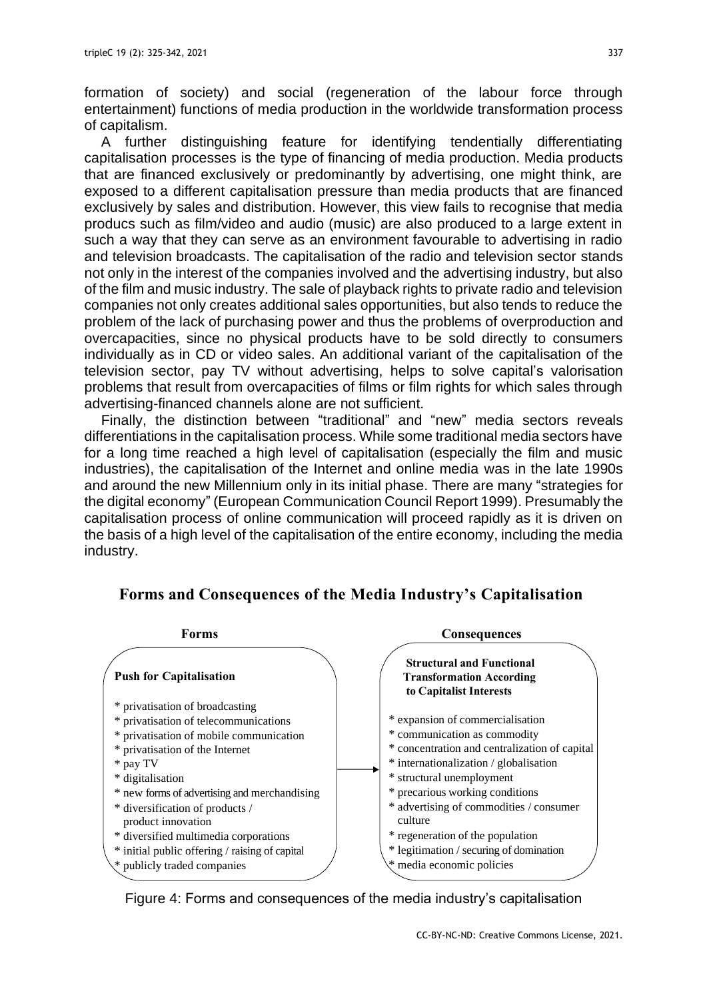formation of society) and social (regeneration of the labour force through entertainment) functions of media production in the worldwide transformation process of capitalism.

A further distinguishing feature for identifying tendentially differentiating capitalisation processes is the type of financing of media production. Media products that are financed exclusively or predominantly by advertising, one might think, are exposed to a different capitalisation pressure than media products that are financed exclusively by sales and distribution. However, this view fails to recognise that media producs such as film/video and audio (music) are also produced to a large extent in such a way that they can serve as an environment favourable to advertising in radio and television broadcasts. The capitalisation of the radio and television sector stands not only in the interest of the companies involved and the advertising industry, but also of the film and music industry. The sale of playback rights to private radio and television companies not only creates additional sales opportunities, but also tends to reduce the problem of the lack of purchasing power and thus the problems of overproduction and overcapacities, since no physical products have to be sold directly to consumers individually as in CD or video sales. An additional variant of the capitalisation of the television sector, pay TV without advertising, helps to solve capital's valorisation problems that result from overcapacities of films or film rights for which sales through advertising-financed channels alone are not sufficient.

Finally, the distinction between "traditional" and "new" media sectors reveals differentiations in the capitalisation process. While some traditional media sectors have for a long time reached a high level of capitalisation (especially the film and music industries), the capitalisation of the Internet and online media was in the late 1990s and around the new Millennium only in its initial phase. There are many "strategies for the digital economy" (European Communication Council Report 1999). Presumably the capitalisation process of online communication will proceed rapidly as it is driven on the basis of a high level of the capitalisation of the entire economy, including the media industry.



**Forms and Consequences of the Media Industry'<sup>s</sup> Capitalisation**

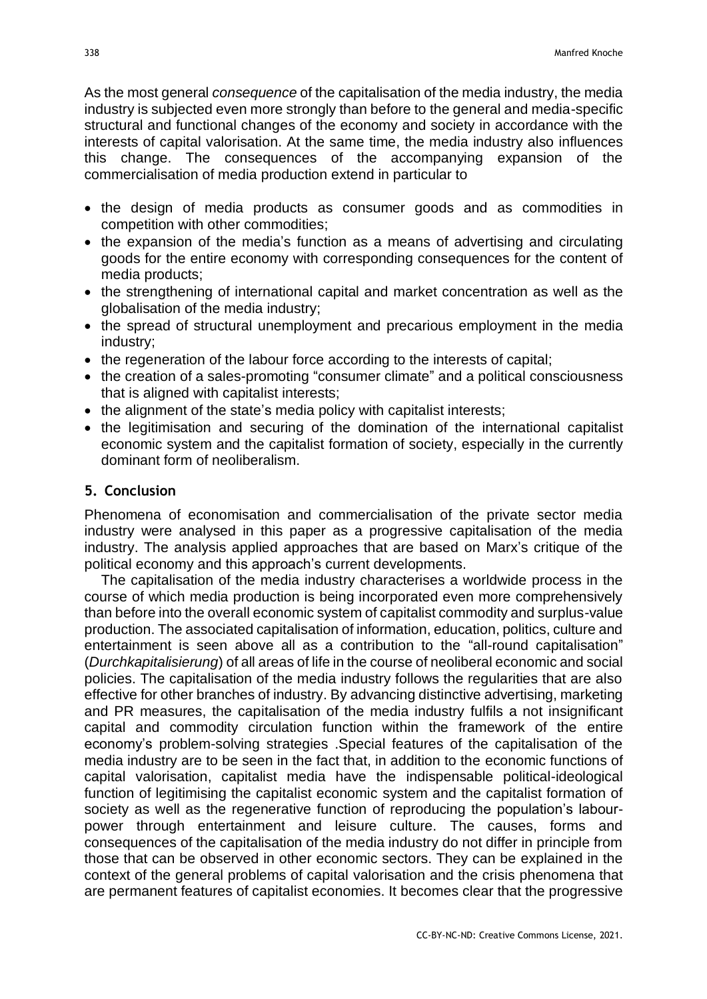As the most general *consequence* of the capitalisation of the media industry, the media industry is subjected even more strongly than before to the general and media-specific structural and functional changes of the economy and society in accordance with the interests of capital valorisation. At the same time, the media industry also influences this change. The consequences of the accompanying expansion of the commercialisation of media production extend in particular to

- the design of media products as consumer goods and as commodities in competition with other commodities;
- the expansion of the media's function as a means of advertising and circulating goods for the entire economy with corresponding consequences for the content of media products;
- the strengthening of international capital and market concentration as well as the globalisation of the media industry;
- the spread of structural unemployment and precarious employment in the media industry;
- the regeneration of the labour force according to the interests of capital;
- the creation of a sales-promoting "consumer climate" and a political consciousness that is aligned with capitalist interests;
- the alignment of the state's media policy with capitalist interests;
- the legitimisation and securing of the domination of the international capitalist economic system and the capitalist formation of society, especially in the currently dominant form of neoliberalism.

### **5. Conclusion**

Phenomena of economisation and commercialisation of the private sector media industry were analysed in this paper as a progressive capitalisation of the media industry. The analysis applied approaches that are based on Marx's critique of the political economy and this approach's current developments.

The capitalisation of the media industry characterises a worldwide process in the course of which media production is being incorporated even more comprehensively than before into the overall economic system of capitalist commodity and surplus-value production. The associated capitalisation of information, education, politics, culture and entertainment is seen above all as a contribution to the "all-round capitalisation" (*Durchkapitalisierung*) of all areas of life in the course of neoliberal economic and social policies. The capitalisation of the media industry follows the regularities that are also effective for other branches of industry. By advancing distinctive advertising, marketing and PR measures, the capitalisation of the media industry fulfils a not insignificant capital and commodity circulation function within the framework of the entire economy's problem-solving strategies .Special features of the capitalisation of the media industry are to be seen in the fact that, in addition to the economic functions of capital valorisation, capitalist media have the indispensable political-ideological function of legitimising the capitalist economic system and the capitalist formation of society as well as the regenerative function of reproducing the population's labourpower through entertainment and leisure culture. The causes, forms and consequences of the capitalisation of the media industry do not differ in principle from those that can be observed in other economic sectors. They can be explained in the context of the general problems of capital valorisation and the crisis phenomena that are permanent features of capitalist economies. It becomes clear that the progressive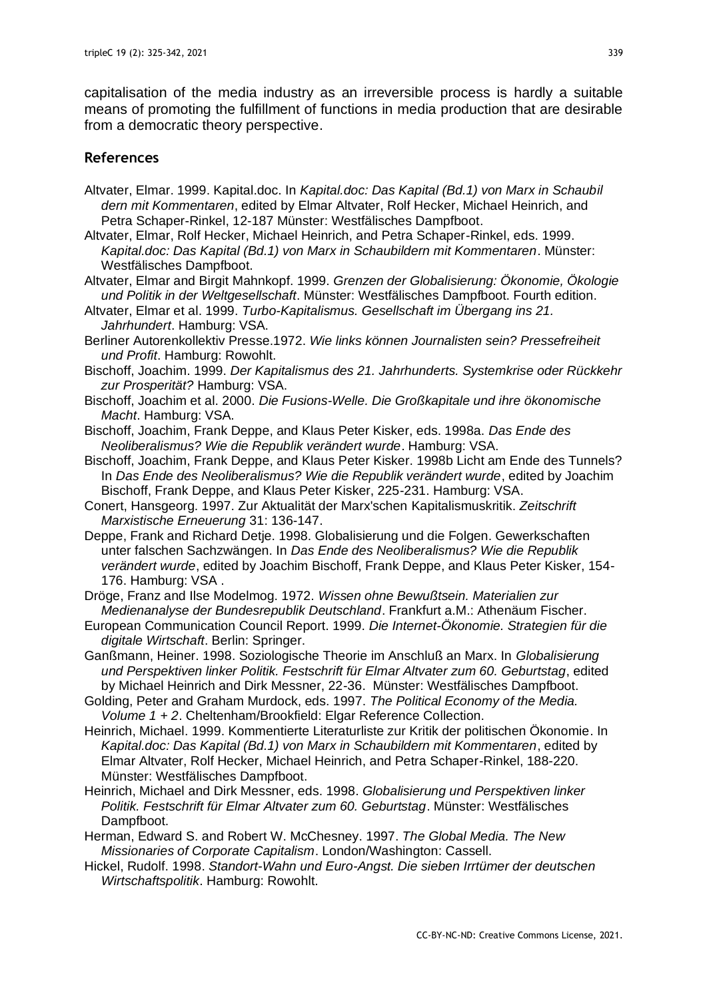capitalisation of the media industry as an irreversible process is hardly a suitable means of promoting the fulfillment of functions in media production that are desirable from a democratic theory perspective.

#### **References**

- Altvater, Elmar. 1999. Kapital.doc. In *Kapital.doc: Das Kapital (Bd.1) von Marx in Schaubil dern mit Kommentaren*, edited by Elmar Altvater, Rolf Hecker, Michael Heinrich, and Petra Schaper-Rinkel, 12-187 Münster: Westfälisches Dampfboot.
- Altvater, Elmar, Rolf Hecker, Michael Heinrich, and Petra Schaper-Rinkel, eds. 1999. *Kapital.doc: Das Kapital (Bd.1) von Marx in Schaubildern mit Kommentaren*. Münster: Westfälisches Dampfboot.
- Altvater, Elmar and Birgit Mahnkopf. 1999. *Grenzen der Globalisierung: Ökonomie, Ökologie und Politik in der Weltgesellschaft*. Münster: Westfälisches Dampfboot. Fourth edition.
- Altvater, Elmar et al. 1999. *Turbo-Kapitalismus. Gesellschaft im Übergang ins 21. Jahrhundert*. Hamburg: VSA.
- Berliner Autorenkollektiv Presse.1972. *Wie links können Journalisten sein? Pressefreiheit und Profit*. Hamburg: Rowohlt.
- Bischoff, Joachim. 1999. *Der Kapitalismus des 21. Jahrhunderts. Systemkrise oder Rückkehr zur Prosperität?* Hamburg: VSA.
- Bischoff, Joachim et al. 2000. *Die Fusions-Welle. Die Großkapitale und ihre ökonomische Macht*. Hamburg: VSA.
- Bischoff, Joachim, Frank Deppe, and Klaus Peter Kisker, eds. 1998a. *Das Ende des Neoliberalismus? Wie die Republik verändert wurde*. Hamburg: VSA.
- Bischoff, Joachim, Frank Deppe, and Klaus Peter Kisker. 1998b Licht am Ende des Tunnels? In *Das Ende des Neoliberalismus? Wie die Republik verändert wurde*, edited by Joachim Bischoff, Frank Deppe, and Klaus Peter Kisker, 225-231. Hamburg: VSA.
- Conert, Hansgeorg. 1997. Zur Aktualität der Marx'schen Kapitalismuskritik. *Zeitschrift Marxistische Erneuerung* 31: 136-147.
- Deppe, Frank and Richard Detje. 1998. Globalisierung und die Folgen. Gewerkschaften unter falschen Sachzwängen. In *Das Ende des Neoliberalismus? Wie die Republik verändert wurde*, edited by Joachim Bischoff, Frank Deppe, and Klaus Peter Kisker, 154- 176. Hamburg: VSA .
- Dröge, Franz and Ilse Modelmog. 1972. *Wissen ohne Bewußtsein. Materialien zur Medienanalyse der Bundesrepublik Deutschland*. Frankfurt a.M.: Athenäum Fischer.
- European Communication Council Report. 1999. *Die Internet-Ökonomie. Strategien für die digitale Wirtschaft*. Berlin: Springer.
- Ganßmann, Heiner. 1998. Soziologische Theorie im Anschluß an Marx. In *Globalisierung und Perspektiven linker Politik. Festschrift für Elmar Altvater zum 60. Geburtstag*, edited by Michael Heinrich and Dirk Messner, 22-36. Münster: Westfälisches Dampfboot.

Golding, Peter and Graham Murdock, eds. 1997. *The Political Economy of the Media. Volume 1 + 2*. Cheltenham/Brookfield: Elgar Reference Collection.

- Heinrich, Michael. 1999. Kommentierte Literaturliste zur Kritik der politischen Ökonomie. In *Kapital.doc: Das Kapital (Bd.1) von Marx in Schaubildern mit Kommentaren*, edited by Elmar Altvater, Rolf Hecker, Michael Heinrich, and Petra Schaper-Rinkel, 188-220. Münster: Westfälisches Dampfboot.
- Heinrich, Michael and Dirk Messner, eds. 1998. *Globalisierung und Perspektiven linker Politik. Festschrift für Elmar Altvater zum 60. Geburtstag*. Münster: Westfälisches Dampfboot.
- Herman, Edward S. and Robert W. McChesney. 1997. *The Global Media. The New Missionaries of Corporate Capitalism*. London/Washington: Cassell.
- Hickel, Rudolf. 1998. *Standort-Wahn und Euro-Angst. Die sieben Irrtümer der deutschen Wirtschaftspolitik*. Hamburg: Rowohlt.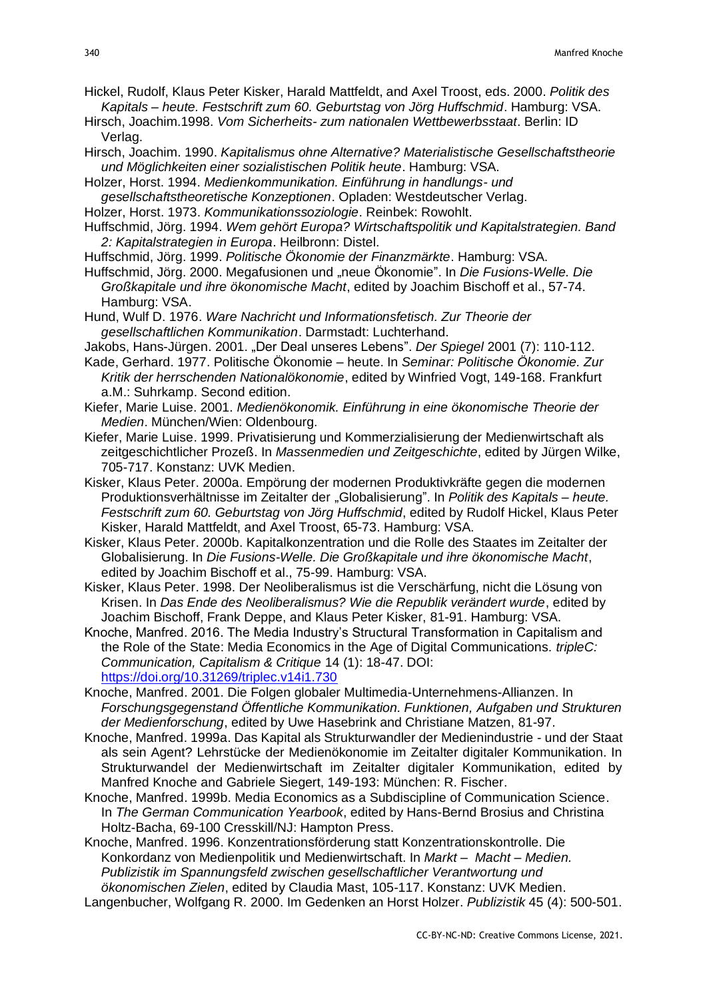Hickel, Rudolf, Klaus Peter Kisker, Harald Mattfeldt, and Axel Troost, eds. 2000. *Politik des Kapitals – heute. Festschrift zum 60. Geburtstag von Jörg Huffschmid*. Hamburg: VSA.

- Hirsch, Joachim.1998. *Vom Sicherheits- zum nationalen Wettbewerbsstaat*. Berlin: ID Verlag.
- Hirsch, Joachim. 1990. *Kapitalismus ohne Alternative? Materialistische Gesellschaftstheorie und Möglichkeiten einer sozialistischen Politik heute*. Hamburg: VSA.
- Holzer, Horst. 1994. *Medienkommunikation. Einführung in handlungs- und*
- *gesellschaftstheoretische Konzeptionen*. Opladen: Westdeutscher Verlag.
- Holzer, Horst. 1973. *Kommunikationssoziologie*. Reinbek: Rowohlt.
- Huffschmid, Jörg. 1994. *Wem gehört Europa? Wirtschaftspolitik und Kapitalstrategien. Band 2: Kapitalstrategien in Europa*. Heilbronn: Distel.
- Huffschmid, Jörg. 1999. *Politische Ökonomie der Finanzmärkte*. Hamburg: VSA.
- Huffschmid, Jörg. 2000. Megafusionen und "neue Ökonomie". In *Die Fusions-Welle. Die Großkapitale und ihre ökonomische Macht*, edited by Joachim Bischoff et al., 57-74. Hamburg: VSA.
- Hund, Wulf D. 1976. *Ware Nachricht und Informationsfetisch. Zur Theorie der gesellschaftlichen Kommunikation*. Darmstadt: Luchterhand.
- Jakobs, Hans-Jürgen. 2001. "Der Deal unseres Lebens". *Der Spiegel* 2001 (7): 110-112.
- Kade, Gerhard. 1977. Politische Ökonomie heute. In *Seminar: Politische Ökonomie. Zur Kritik der herrschenden Nationalökonomie*, edited by Winfried Vogt, 149-168. Frankfurt a.M.: Suhrkamp. Second edition.
- Kiefer, Marie Luise. 2001. *Medienökonomik. Einführung in eine ökonomische Theorie der Medien*. München/Wien: Oldenbourg.
- Kiefer, Marie Luise. 1999. Privatisierung und Kommerzialisierung der Medienwirtschaft als zeitgeschichtlicher Prozeß. In *Massenmedien und Zeitgeschichte*, edited by Jürgen Wilke, 705-717. Konstanz: UVK Medien.
- Kisker, Klaus Peter. 2000a. Empörung der modernen Produktivkräfte gegen die modernen Produktionsverhältnisse im Zeitalter der "Globalisierung". In *Politik des Kapitals – heute. Festschrift zum 60. Geburtstag von Jörg Huffschmid*, edited by Rudolf Hickel, Klaus Peter Kisker, Harald Mattfeldt, and Axel Troost, 65-73. Hamburg: VSA.
- Kisker, Klaus Peter. 2000b. Kapitalkonzentration und die Rolle des Staates im Zeitalter der Globalisierung. In *Die Fusions-Welle. Die Großkapitale und ihre ökonomische Macht*, edited by Joachim Bischoff et al., 75-99. Hamburg: VSA.
- Kisker, Klaus Peter. 1998. Der Neoliberalismus ist die Verschärfung, nicht die Lösung von Krisen. In *Das Ende des Neoliberalismus? Wie die Republik verändert wurde*, edited by Joachim Bischoff, Frank Deppe, and Klaus Peter Kisker, 81-91. Hamburg: VSA.
- Knoche, Manfred. 2016. The Media Industry's Structural Transformation in Capitalism and the Role of the State: Media Economics in the Age of Digital Communications. *tripleC: Communication, Capitalism & Critique* 14 (1): 18-47. DOI: <https://doi.org/10.31269/triplec.v14i1.730>
- Knoche, Manfred. 2001. Die Folgen globaler Multimedia-Unternehmens-Allianzen. In *Forschungsgegenstand Öffentliche Kommunikation. Funktionen, Aufgaben und Strukturen der Medienforschung*, edited by Uwe Hasebrink and Christiane Matzen, 81-97.
- Knoche, Manfred. 1999a. Das Kapital als Strukturwandler der Medienindustrie und der Staat als sein Agent? Lehrstücke der Medienökonomie im Zeitalter digitaler Kommunikation. In Strukturwandel der Medienwirtschaft im Zeitalter digitaler Kommunikation, edited by Manfred Knoche and Gabriele Siegert, 149-193: München: R. Fischer.
- Knoche, Manfred. 1999b. Media Economics as a Subdiscipline of Communication Science. In *The German Communication Yearbook*, edited by Hans-Bernd Brosius and Christina Holtz-Bacha, 69-100 Cresskill/NJ: Hampton Press.

Knoche, Manfred. 1996. Konzentrationsförderung statt Konzentrationskontrolle. Die Konkordanz von Medienpolitik und Medienwirtschaft. In *Markt – Macht – Medien. Publizistik im Spannungsfeld zwischen gesellschaftlicher Verantwortung und ökonomischen Zielen*, edited by Claudia Mast, 105-117. Konstanz: UVK Medien. Langenbucher, Wolfgang R. 2000. Im Gedenken an Horst Holzer. *Publizistik* 45 (4): 500-501.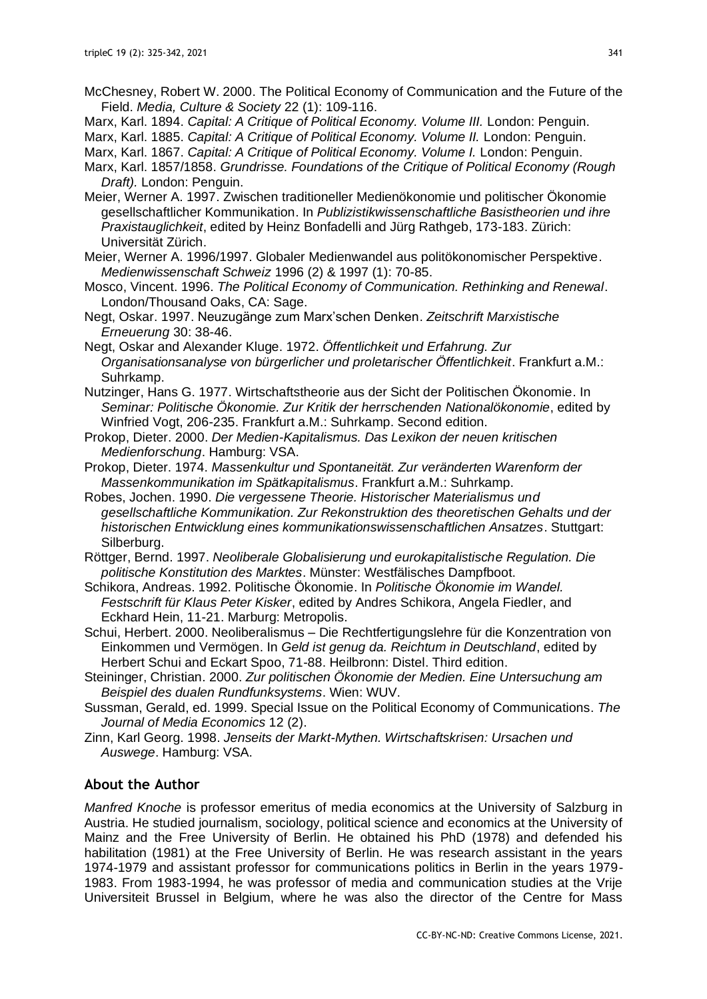- McChesney, Robert W. 2000. The Political Economy of Communication and the Future of the Field. *Media, Culture & Society* 22 (1): 109-116.
- Marx, Karl. 1894. *Capital: A Critique of Political Economy. Volume III.* London: Penguin.
- Marx, Karl. 1885. *Capital: A Critique of Political Economy. Volume II.* London: Penguin.
- Marx, Karl. 1867. *Capital: A Critique of Political Economy. Volume I.* London: Penguin.
- Marx, Karl. 1857/1858. *Grundrisse. Foundations of the Critique of Political Economy (Rough Draft).* London: Penguin.
- Meier, Werner A. 1997. Zwischen traditioneller Medienökonomie und politischer Ökonomie gesellschaftlicher Kommunikation. In *Publizistikwissenschaftliche Basistheorien und ihre Praxistauglichkeit*, edited by Heinz Bonfadelli and Jürg Rathgeb, 173-183. Zürich: Universität Zürich.
- Meier, Werner A. 1996/1997. Globaler Medienwandel aus politökonomischer Perspektive. *Medienwissenschaft Schweiz* 1996 (2) & 1997 (1): 70-85.
- Mosco, Vincent. 1996. *The Political Economy of Communication. Rethinking and Renewal*. London/Thousand Oaks, CA: Sage.
- Negt, Oskar. 1997. Neuzugänge zum Marx'schen Denken. *Zeitschrift Marxistische Erneuerung* 30: 38-46.
- Negt, Oskar and Alexander Kluge. 1972. *Öffentlichkeit und Erfahrung. Zur Organisationsanalyse von bürgerlicher und proletarischer Öffentlichkeit*. Frankfurt a.M.: Suhrkamp.
- Nutzinger, Hans G. 1977. Wirtschaftstheorie aus der Sicht der Politischen Ökonomie. In *Seminar: Politische Ökonomie. Zur Kritik der herrschenden Nationalökonomie*, edited by Winfried Vogt, 206-235. Frankfurt a.M.: Suhrkamp. Second edition.
- Prokop, Dieter. 2000. *Der Medien-Kapitalismus. Das Lexikon der neuen kritischen Medienforschung*. Hamburg: VSA.
- Prokop, Dieter. 1974. *Massenkultur und Spontaneität. Zur veränderten Warenform der Massenkommunikation im Spätkapitalismus*. Frankfurt a.M.: Suhrkamp.
- Robes, Jochen. 1990. *Die vergessene Theorie. Historischer Materialismus und gesellschaftliche Kommunikation. Zur Rekonstruktion des theoretischen Gehalts und der historischen Entwicklung eines kommunikationswissenschaftlichen Ansatzes*. Stuttgart: Silberburg.
- Röttger, Bernd. 1997. *Neoliberale Globalisierung und eurokapitalistische Regulation. Die politische Konstitution des Marktes*. Münster: Westfälisches Dampfboot.
- Schikora, Andreas. 1992. Politische Ökonomie. In *Politische Ökonomie im Wandel. Festschrift für Klaus Peter Kisker*, edited by Andres Schikora, Angela Fiedler, and Eckhard Hein, 11-21. Marburg: Metropolis.
- Schui, Herbert. 2000. Neoliberalismus Die Rechtfertigungslehre für die Konzentration von Einkommen und Vermögen. In *Geld ist genug da. Reichtum in Deutschland*, edited by Herbert Schui and Eckart Spoo, 71-88. Heilbronn: Distel. Third edition.
- Steininger, Christian. 2000. *Zur politischen Ökonomie der Medien. Eine Untersuchung am Beispiel des dualen Rundfunksystems*. Wien: WUV.
- Sussman, Gerald, ed. 1999. Special Issue on the Political Economy of Communications. *The Journal of Media Economics* 12 (2).
- Zinn, Karl Georg. 1998. *Jenseits der Markt-Mythen. Wirtschaftskrisen: Ursachen und Auswege*. Hamburg: VSA.

# **About the Author**

*Manfred Knoche* is professor emeritus of media economics at the University of Salzburg in Austria. He studied journalism, sociology, political science and economics at the University of Mainz and the Free University of Berlin. He obtained his PhD (1978) and defended his habilitation (1981) at the Free University of Berlin. He was research assistant in the years 1974-1979 and assistant professor for communications politics in Berlin in the years 1979- 1983. From 1983-1994, he was professor of media and communication studies at the Vrije Universiteit Brussel in Belgium, where he was also the director of the Centre for Mass